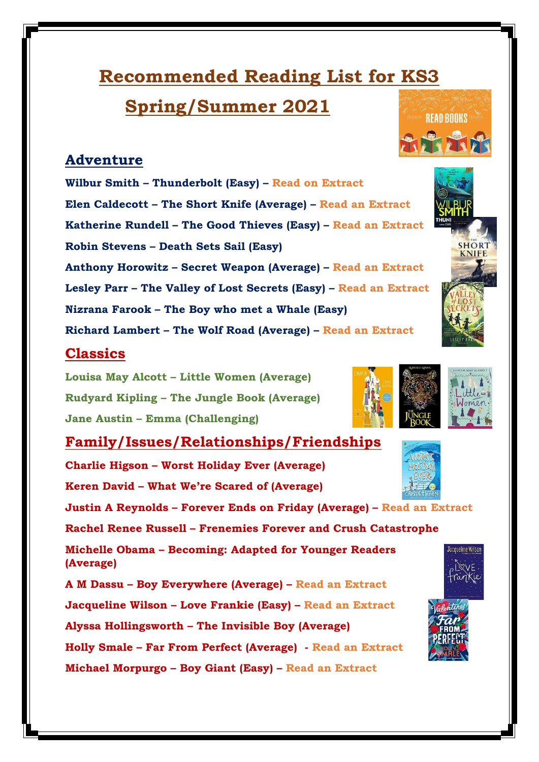# **Recommended Reading List for KS3**

**Spring/Summer 2021**

# **Adventure**

**Wilbur Smith – Thunderbolt (Easy) – Read on Extract Elen Caldecott – The Short Knife (Average) – Read an Extract Katherine Rundell – The Good Thieves (Easy) – Read an Extract Robin Stevens – Death Sets Sail (Easy) Anthony Horowitz – Secret Weapon (Average) – Read an Extract Lesley Parr – The Valley of Lost Secrets (Easy) – Read an Extract Nizrana Farook – The Boy who met a Whale (Easy)** 

**Richard Lambert – The Wolf Road (Average) – Read an Extract**

## **Classics**

**Louisa May Alcott – Little Women (Average) Rudyard Kipling – The Jungle Book (Average) Jane Austin – Emma (Challenging)**

# **Family/Issues/Relationships/Friendships**

**Charlie Higson – Worst Holiday Ever (Average) Keren David – What We're Scared of (Average) Justin A Reynolds – Forever Ends on Friday (Average) – Read an Extract Rachel Renee Russell – Frenemies Forever and Crush Catastrophe Michelle Obama – Becoming: Adapted for Younger Readers (Average) A M Dassu – Boy Everywhere (Average) – Read an Extract Jacqueline Wilson – Love Frankie (Easy) – Read an Extract Alyssa Hollingsworth – The Invisible Boy (Average) Holly Smale – Far From Perfect (Average) - Read an Extract Michael Morpurgo – Boy Giant (Easy) – Read an Extract**